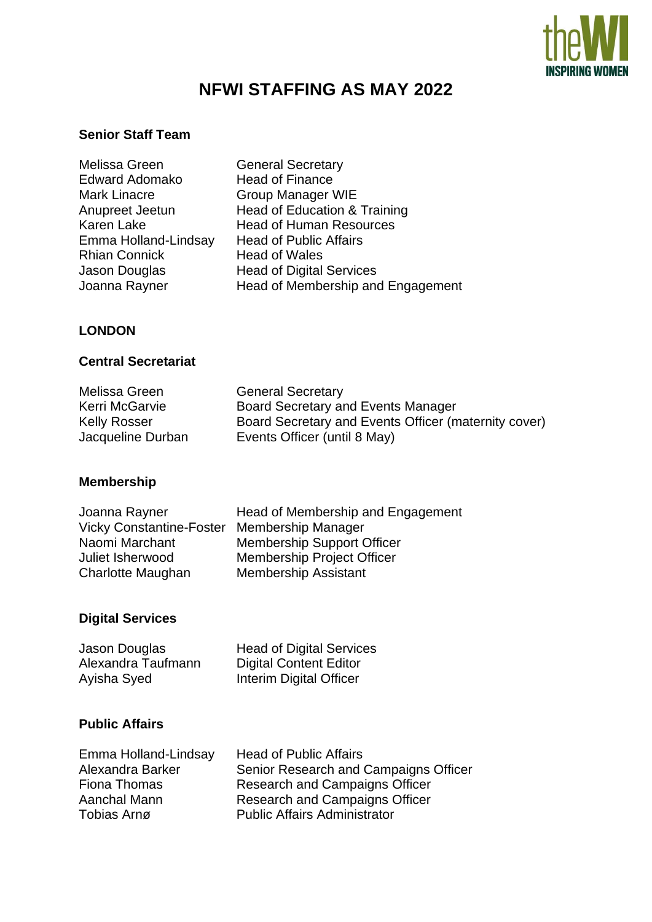

# **NFWI STAFFING AS MAY 2022**

#### **Senior Staff Team**

- Melissa Green General Secretary Edward Adomako Head of Finance Mark Linacre **Group Manager WIE**<br>Anupreet Jeetun Head of Education & Emma Holland-Lindsay Head of Public Affairs Rhian Connick<br>
Jason Douglas<br>
Head of Digital
- Head of Education & Training Karen Lake Head of Human Resources Jason Douglas<br>
Joanna Rayner<br>
Head of Membership and<br>
Head of Membership and Head of Membership and Engagement

#### **LONDON**

#### **Central Secretariat**

| Melissa Green<br>Kerri McGarvie | <b>General Secretary</b><br>Board Secretary and Events Manager |
|---------------------------------|----------------------------------------------------------------|
| <b>Kelly Rosser</b>             | Board Secretary and Events Officer (maternity cover)           |
| Jacqueline Durban               | Events Officer (until 8 May)                                   |

#### **Membership**

| Joanna Rayner                   | Head of Membership and Engagement |
|---------------------------------|-----------------------------------|
| <b>Vicky Constantine-Foster</b> | <b>Membership Manager</b>         |
| Naomi Marchant                  | <b>Membership Support Officer</b> |
| Juliet Isherwood                | <b>Membership Project Officer</b> |
| Charlotte Maughan               | <b>Membership Assistant</b>       |

#### **Digital Services**

| Jason Douglas      | <b>Head of Digital Services</b> |
|--------------------|---------------------------------|
| Alexandra Taufmann | <b>Digital Content Editor</b>   |
| Ayisha Syed        | Interim Digital Officer         |

#### **Public Affairs**

| Emma Holland-Lindsay | <b>Head of Public Affairs</b>         |
|----------------------|---------------------------------------|
| Alexandra Barker     | Senior Research and Campaigns Officer |
| Fiona Thomas         | Research and Campaigns Officer        |
| Aanchal Mann         | <b>Research and Campaigns Officer</b> |
| Tobias Arnø          | <b>Public Affairs Administrator</b>   |
|                      |                                       |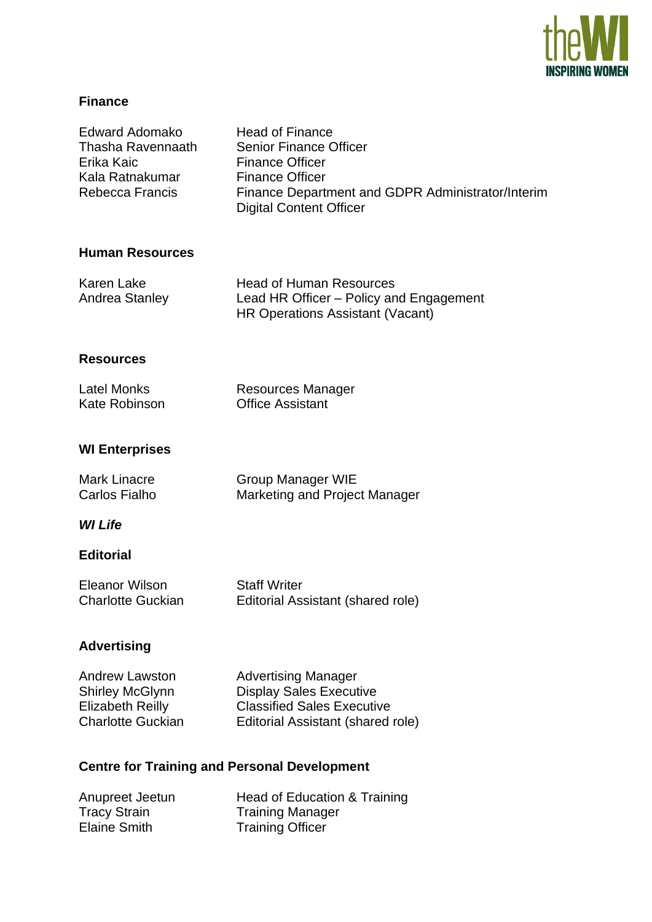

# **Finance**

| Edward Adomako<br><b>Thasha Ravennaath</b><br>Erika Kaic<br>Kala Ratnakumar<br><b>Rebecca Francis</b>  | <b>Head of Finance</b><br><b>Senior Finance Officer</b><br><b>Finance Officer</b><br><b>Finance Officer</b><br>Finance Department and GDPR Administrator/Interim<br><b>Digital Content Officer</b> |  |
|--------------------------------------------------------------------------------------------------------|----------------------------------------------------------------------------------------------------------------------------------------------------------------------------------------------------|--|
| <b>Human Resources</b>                                                                                 |                                                                                                                                                                                                    |  |
| <b>Karen Lake</b><br><b>Andrea Stanley</b>                                                             | <b>Head of Human Resources</b><br>Lead HR Officer – Policy and Engagement<br><b>HR Operations Assistant (Vacant)</b>                                                                               |  |
| <b>Resources</b>                                                                                       |                                                                                                                                                                                                    |  |
| <b>Latel Monks</b><br><b>Kate Robinson</b>                                                             | <b>Resources Manager</b><br><b>Office Assistant</b>                                                                                                                                                |  |
| <b>WI Enterprises</b>                                                                                  |                                                                                                                                                                                                    |  |
| <b>Mark Linacre</b><br><b>Carlos Fialho</b>                                                            | Group Manager WIE<br>Marketing and Project Manager                                                                                                                                                 |  |
| <b>WI Life</b>                                                                                         |                                                                                                                                                                                                    |  |
| <b>Editorial</b>                                                                                       |                                                                                                                                                                                                    |  |
| <b>Eleanor Wilson</b><br><b>Charlotte Guckian</b>                                                      | <b>Staff Writer</b><br>Editorial Assistant (shared role)                                                                                                                                           |  |
| <b>Advertising</b>                                                                                     |                                                                                                                                                                                                    |  |
| <b>Andrew Lawston</b><br><b>Shirley McGlynn</b><br><b>Elizabeth Reilly</b><br><b>Charlotte Guckian</b> | <b>Advertising Manager</b><br><b>Display Sales Executive</b><br><b>Classified Sales Executive</b><br>Editorial Assistant (shared role)                                                             |  |
| <b>Centre for Training and Personal Development</b>                                                    |                                                                                                                                                                                                    |  |
| Anupreet Jeetun<br><b>Tracy Strain</b><br><b>Elaine Smith</b>                                          | Head of Education & Training<br><b>Training Manager</b><br><b>Training Officer</b>                                                                                                                 |  |